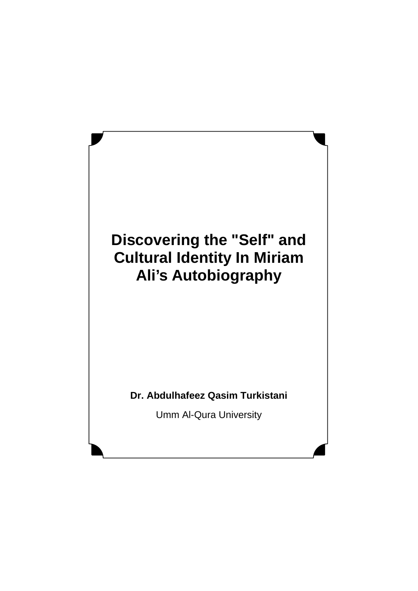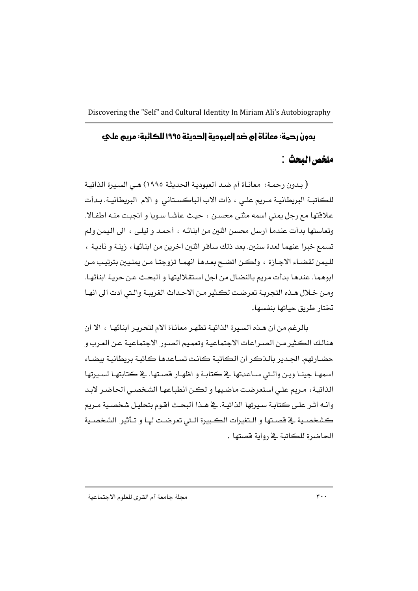# بدون رحمة: معاناة إم ضد إلمبودية إلحديثة ١٩٩٥ للكائبة: مريم علي

# ملخص البحث :

( بدون رحمـة: معانـاة أم ضـد العبوديـة الحديثـة ١٩٩٥) هـي السـيرة الذاتيـة للكاتبة البريطانيـة مـريم علـى ، ذات الاب الباكسـتاني و الام البريطانيـة. بـدأت علاقتها مع رجل يمني اسمه مثنى محسن ، حيث عاشا سويا و انجبت منه اطفالا. وتعاستها بدأت عندما ارسل محسن اثنين من ابنائه ، أحمد و ليلي ، الى اليمن ولم تسمع خبرا عنهما لعدة سنين. بعد ذلك سافر اثنين اخرين من ابنائها ، زينـة و ناديـة ، لليمن لقضـاء الاجـازة ، ولكـن اتضـح بعـدهـا انهمـا تزوجتـا مـن يمنـيين بترتيب مـن ابوهما. عندها بدأت مريم بالنضال من اجل استقلاليتها و البحث عن حرية ابنائها. ومن خلال هـذه التجريـة تعرضت لكـثير مـن الاحـداث الغريبـة والـتي ادت الى انهـا تختار طريق حياتها ينفسها.

بالرغم من ان هـذه السـيرة الذاتيـة تظهـر معانـاة الام لتحريـر ابنائهـا ، الا ان هنالك الكثير من الصـراعات الاجتماعيـة وتعميم الصـور الاجتماعيـة عـن العـرب و حضارتهم. الجدير بالذكر ان الكاتبة كانت تساعدها كاتبة بريطانية بيضاء اسمهـا جينـا ويـن والـتي سـاعدتها ـ2 كتابـة و اظهـار فصـتها. ـ2 كتابتهـا لسـيرتها الذاتية، مريم على استعرضت ماضيها و لكن انطباعها الشخصى الحاضر لابد وانـه اثـر علـى كتابـة سـيرتها الذاتيـة. في هـذا البحـث اقـوم بتحليـل شخصـية مـريم كشخصية فج فصتها و التغيرات الكبيرة الـتي تعرضت لهـا و تـأثير الشخصية الحاضرة للكاتبة في رواية قصتها .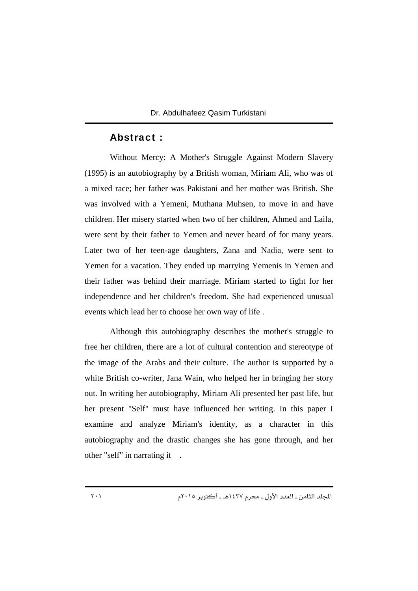### Abstract :

Without Mercy: A Mother's Struggle Against Modern Slavery (1995) is an autobiography by a British woman, Miriam Ali, who was of a mixed race; her father was Pakistani and her mother was British. She was involved with a Yemeni, Muthana Muhsen, to move in and have children. Her misery started when two of her children, Ahmed and Laila, were sent by their father to Yemen and never heard of for many years. Later two of her teen-age daughters, Zana and Nadia, were sent to Yemen for a vacation. They ended up marrying Yemenis in Yemen and their father was behind their marriage. Miriam started to fight for her independence and her children's freedom. She had experienced unusual events which lead her to choose her own way of life .

Although this autobiography describes the mother's struggle to free her children, there are a lot of cultural contention and stereotype of the image of the Arabs and their culture. The author is supported by a white British co-writer, Jana Wain, who helped her in bringing her story out. In writing her autobiography, Miriam Ali presented her past life, but her present "Self" must have influenced her writing. In this paper I examine and analyze Miriam's identity, as a character in this autobiography and the drastic changes she has gone through, and her other "self" in narrating it .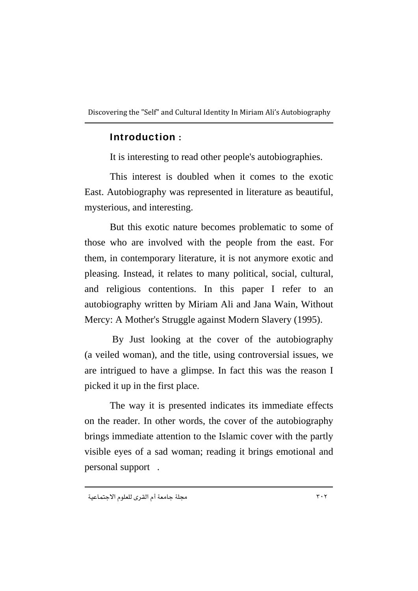### Introduction :

It is interesting to read other people's autobiographies.

This interest is doubled when it comes to the exotic East. Autobiography was represented in literature as beautiful, mysterious, and interesting.

But this exotic nature becomes problematic to some of those who are involved with the people from the east. For them, in contemporary literature, it is not anymore exotic and pleasing. Instead, it relates to many political, social, cultural, and religious contentions. In this paper I refer to an autobiography written by Miriam Ali and Jana Wain, Without Mercy: A Mother's Struggle against Modern Slavery (1995).

 By Just looking at the cover of the autobiography (a veiled woman), and the title, using controversial issues, we are intrigued to have a glimpse. In fact this was the reason I picked it up in the first place.

The way it is presented indicates its immediate effects on the reader. In other words, the cover of the autobiography brings immediate attention to the Islamic cover with the partly visible eyes of a sad woman; reading it brings emotional and personal support .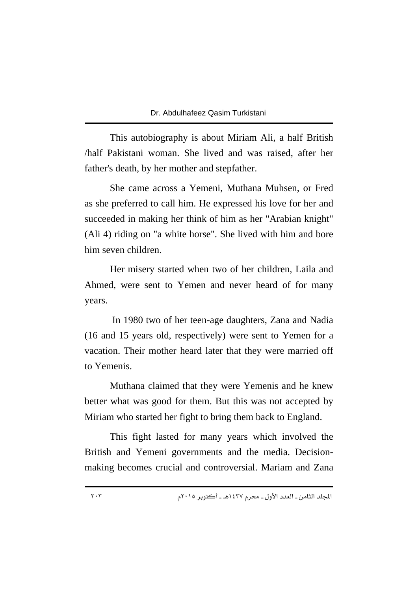This autobiography is about Miriam Ali, a half British /half Pakistani woman. She lived and was raised, after her father's death, by her mother and stepfather.

She came across a Yemeni, Muthana Muhsen, or Fred as she preferred to call him. He expressed his love for her and succeeded in making her think of him as her "Arabian knight" (Ali 4) riding on "a white horse". She lived with him and bore him seven children.

Her misery started when two of her children, Laila and Ahmed, were sent to Yemen and never heard of for many years.

 In 1980 two of her teen-age daughters, Zana and Nadia (16 and 15 years old, respectively) were sent to Yemen for a vacation. Their mother heard later that they were married off to Yemenis.

Muthana claimed that they were Yemenis and he knew better what was good for them. But this was not accepted by Miriam who started her fight to bring them back to England.

This fight lasted for many years which involved the British and Yemeni governments and the media. Decisionmaking becomes crucial and controversial. Mariam and Zana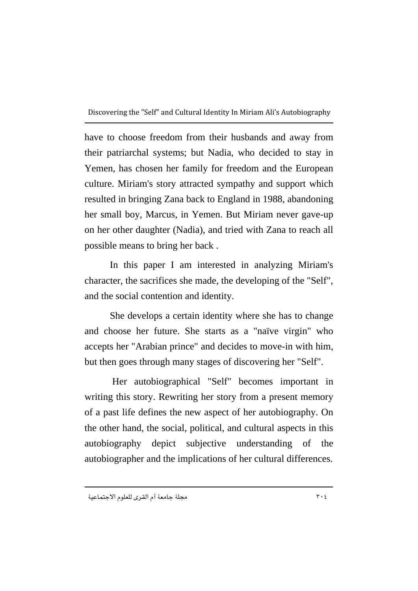have to choose freedom from their husbands and away from their patriarchal systems; but Nadia, who decided to stay in Yemen, has chosen her family for freedom and the European culture. Miriam's story attracted sympathy and support which resulted in bringing Zana back to England in 1988, abandoning her small boy, Marcus, in Yemen. But Miriam never gave-up on her other daughter (Nadia), and tried with Zana to reach all possible means to bring her back .

In this paper I am interested in analyzing Miriam's character, the sacrifices she made, the developing of the "Self", and the social contention and identity.

She develops a certain identity where she has to change and choose her future. She starts as a "naïve virgin" who accepts her "Arabian prince" and decides to move-in with him, but then goes through many stages of discovering her "Self".

 Her autobiographical "Self" becomes important in writing this story. Rewriting her story from a present memory of a past life defines the new aspect of her autobiography. On the other hand, the social, political, and cultural aspects in this autobiography depict subjective understanding of the autobiographer and the implications of her cultural differences.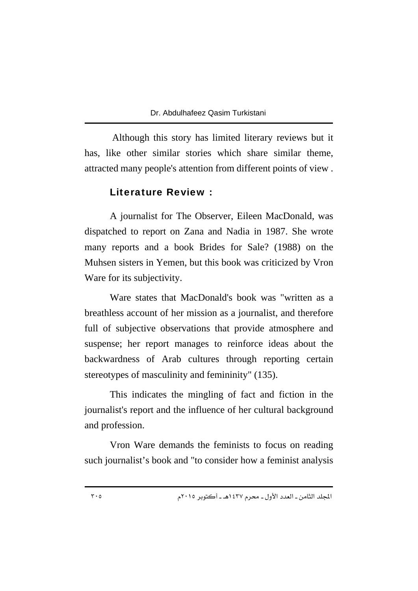Although this story has limited literary reviews but it has, like other similar stories which share similar theme, attracted many people's attention from different points of view .

### Literature Review :

A journalist for The Observer, Eileen MacDonald, was dispatched to report on Zana and Nadia in 1987. She wrote many reports and a book Brides for Sale? (1988) on the Muhsen sisters in Yemen, but this book was criticized by Vron Ware for its subjectivity.

Ware states that MacDonald's book was "written as a breathless account of her mission as a journalist, and therefore full of subjective observations that provide atmosphere and suspense; her report manages to reinforce ideas about the backwardness of Arab cultures through reporting certain stereotypes of masculinity and femininity" (135).

This indicates the mingling of fact and fiction in the journalist's report and the influence of her cultural background and profession.

Vron Ware demands the feminists to focus on reading such journalist's book and "to consider how a feminist analysis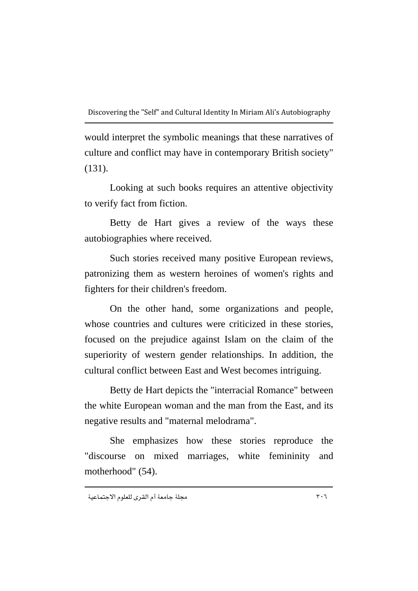would interpret the symbolic meanings that these narratives of culture and conflict may have in contemporary British society" (131).

Looking at such books requires an attentive objectivity to verify fact from fiction.

Betty de Hart gives a review of the ways these autobiographies where received.

Such stories received many positive European reviews, patronizing them as western heroines of women's rights and fighters for their children's freedom.

On the other hand, some organizations and people, whose countries and cultures were criticized in these stories, focused on the prejudice against Islam on the claim of the superiority of western gender relationships. In addition, the cultural conflict between East and West becomes intriguing.

Betty de Hart depicts the "interracial Romance" between the white European woman and the man from the East, and its negative results and "maternal melodrama".

She emphasizes how these stories reproduce the "discourse on mixed marriages, white femininity and motherhood" (54).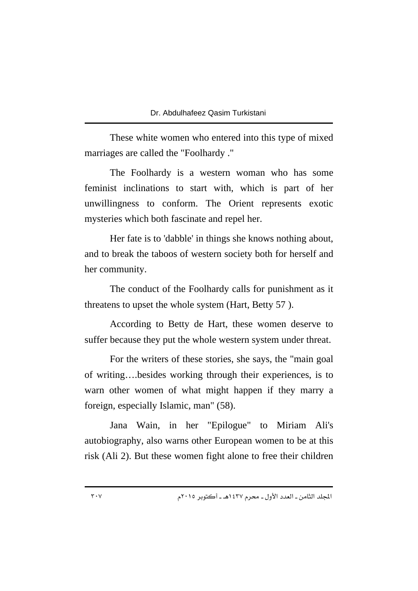These white women who entered into this type of mixed marriages are called the "Foolhardy ."

The Foolhardy is a western woman who has some feminist inclinations to start with, which is part of her unwillingness to conform. The Orient represents exotic mysteries which both fascinate and repel her.

Her fate is to 'dabble' in things she knows nothing about, and to break the taboos of western society both for herself and her community.

The conduct of the Foolhardy calls for punishment as it threatens to upset the whole system (Hart, Betty 57).

According to Betty de Hart, these women deserve to suffer because they put the whole western system under threat.

For the writers of these stories, she says, the "main goal of writing….besides working through their experiences, is to warn other women of what might happen if they marry a foreign, especially Islamic, man" (58).

Jana Wain, in her "Epilogue" to Miriam Ali's autobiography, also warns other European women to be at this risk (Ali 2). But these women fight alone to free their children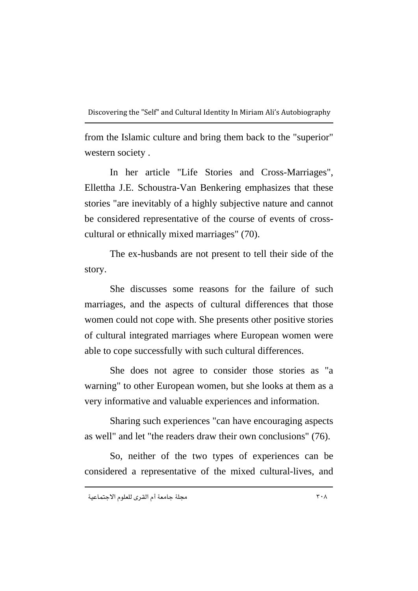from the Islamic culture and bring them back to the "superior" western society .

In her article "Life Stories and Cross-Marriages", Ellettha J.E. Schoustra-Van Benkering emphasizes that these stories "are inevitably of a highly subjective nature and cannot be considered representative of the course of events of crosscultural or ethnically mixed marriages" (70).

The ex-husbands are not present to tell their side of the story.

She discusses some reasons for the failure of such marriages, and the aspects of cultural differences that those women could not cope with. She presents other positive stories of cultural integrated marriages where European women were able to cope successfully with such cultural differences.

She does not agree to consider those stories as "a warning" to other European women, but she looks at them as a very informative and valuable experiences and information.

Sharing such experiences "can have encouraging aspects as well" and let "the readers draw their own conclusions" (76).

So, neither of the two types of experiences can be considered a representative of the mixed cultural-lives, and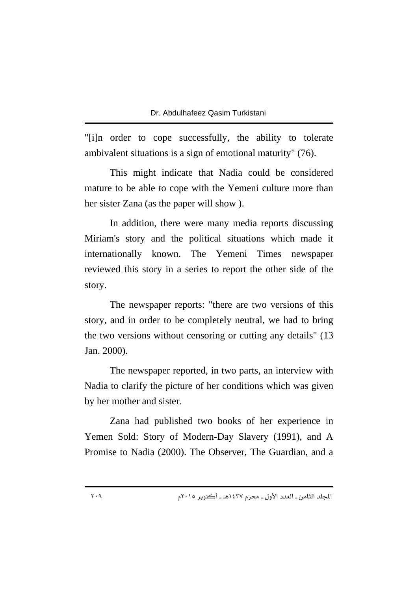"[i]n order to cope successfully, the ability to tolerate ambivalent situations is a sign of emotional maturity" (76).

This might indicate that Nadia could be considered mature to be able to cope with the Yemeni culture more than her sister Zana (as the paper will show).

In addition, there were many media reports discussing Miriam's story and the political situations which made it internationally known. The Yemeni Times newspaper reviewed this story in a series to report the other side of the story.

The newspaper reports: "there are two versions of this story, and in order to be completely neutral, we had to bring the two versions without censoring or cutting any details" (13 Jan. 2000).

The newspaper reported, in two parts, an interview with Nadia to clarify the picture of her conditions which was given by her mother and sister.

Zana had published two books of her experience in Yemen Sold: Story of Modern-Day Slavery (1991), and A Promise to Nadia (2000). The Observer, The Guardian, and a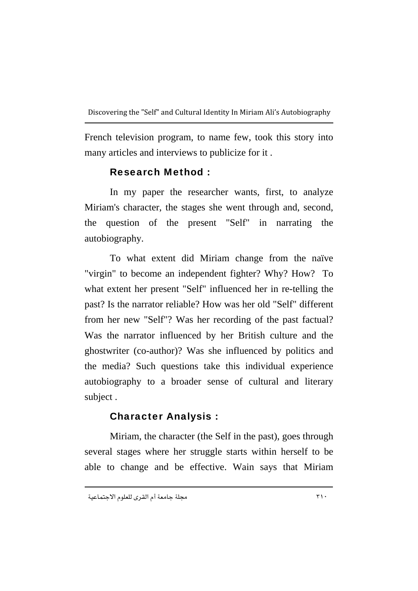French television program, to name few, took this story into many articles and interviews to publicize for it .

# Research Method :

In my paper the researcher wants, first, to analyze Miriam's character, the stages she went through and, second, the question of the present "Self" in narrating the autobiography.

To what extent did Miriam change from the naïve "virgin" to become an independent fighter? Why? How? To what extent her present "Self" influenced her in re-telling the past? Is the narrator reliable? How was her old "Self" different from her new "Self"? Was her recording of the past factual? Was the narrator influenced by her British culture and the ghostwriter (co-author)? Was she influenced by politics and the media? Such questions take this individual experience autobiography to a broader sense of cultural and literary subject .

# Character Analysis :

Miriam, the character (the Self in the past), goes through several stages where her struggle starts within herself to be able to change and be effective. Wain says that Miriam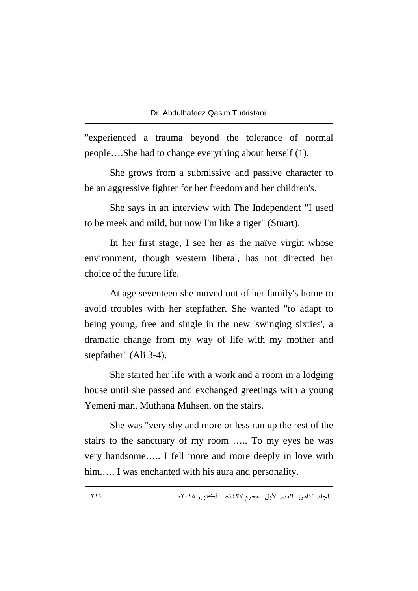"experienced a trauma beyond the tolerance of normal people….She had to change everything about herself (1).

She grows from a submissive and passive character to be an aggressive fighter for her freedom and her children's.

She says in an interview with The Independent "I used to be meek and mild, but now I'm like a tiger" (Stuart).

In her first stage, I see her as the naïve virgin whose environment, though western liberal, has not directed her choice of the future life.

At age seventeen she moved out of her family's home to avoid troubles with her stepfather. She wanted "to adapt to being young, free and single in the new 'swinging sixties', a dramatic change from my way of life with my mother and stepfather" (Ali 3-4).

She started her life with a work and a room in a lodging house until she passed and exchanged greetings with a young Yemeni man, Muthana Muhsen, on the stairs.

She was "very shy and more or less ran up the rest of the stairs to the sanctuary of my room ….. To my eyes he was very handsome….. I fell more and more deeply in love with him..... I was enchanted with his aura and personality.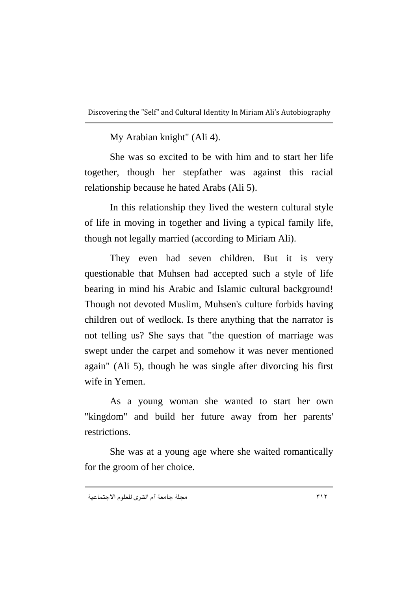My Arabian knight" (Ali 4).

She was so excited to be with him and to start her life together, though her stepfather was against this racial relationship because he hated Arabs (Ali 5).

In this relationship they lived the western cultural style of life in moving in together and living a typical family life, though not legally married (according to Miriam Ali).

They even had seven children. But it is very questionable that Muhsen had accepted such a style of life bearing in mind his Arabic and Islamic cultural background! Though not devoted Muslim, Muhsen's culture forbids having children out of wedlock. Is there anything that the narrator is not telling us? She says that "the question of marriage was swept under the carpet and somehow it was never mentioned again" (Ali 5), though he was single after divorcing his first wife in Yemen.

As a young woman she wanted to start her own "kingdom" and build her future away from her parents' restrictions.

She was at a young age where she waited romantically for the groom of her choice.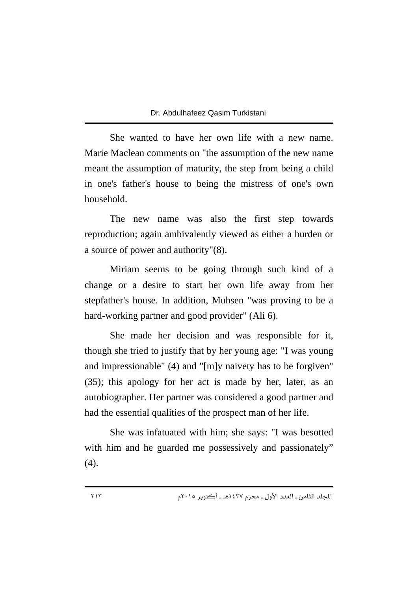She wanted to have her own life with a new name. Marie Maclean comments on "the assumption of the new name meant the assumption of maturity, the step from being a child in one's father's house to being the mistress of one's own household.

The new name was also the first step towards reproduction; again ambivalently viewed as either a burden or a source of power and authority"(8).

Miriam seems to be going through such kind of a change or a desire to start her own life away from her stepfather's house. In addition, Muhsen "was proving to be a hard-working partner and good provider" (Ali 6).

She made her decision and was responsible for it, though she tried to justify that by her young age: "I was young and impressionable" (4) and "[m]y naivety has to be forgiven" (35); this apology for her act is made by her, later, as an autobiographer. Her partner was considered a good partner and had the essential qualities of the prospect man of her life.

She was infatuated with him; she says: "I was besotted with him and he guarded me possessively and passionately" (4).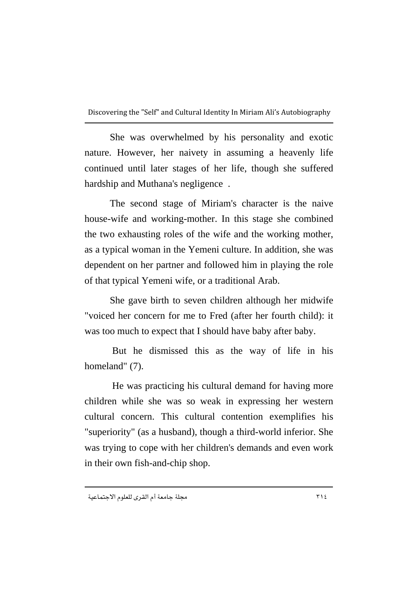She was overwhelmed by his personality and exotic nature. However, her naivety in assuming a heavenly life continued until later stages of her life, though she suffered hardship and Muthana's negligence .

The second stage of Miriam's character is the naive house-wife and working-mother. In this stage she combined the two exhausting roles of the wife and the working mother, as a typical woman in the Yemeni culture. In addition, she was dependent on her partner and followed him in playing the role of that typical Yemeni wife, or a traditional Arab.

She gave birth to seven children although her midwife "voiced her concern for me to Fred (after her fourth child): it was too much to expect that I should have baby after baby.

 But he dismissed this as the way of life in his homeland" (7).

 He was practicing his cultural demand for having more children while she was so weak in expressing her western cultural concern. This cultural contention exemplifies his "superiority" (as a husband), though a third-world inferior. She was trying to cope with her children's demands and even work in their own fish-and-chip shop.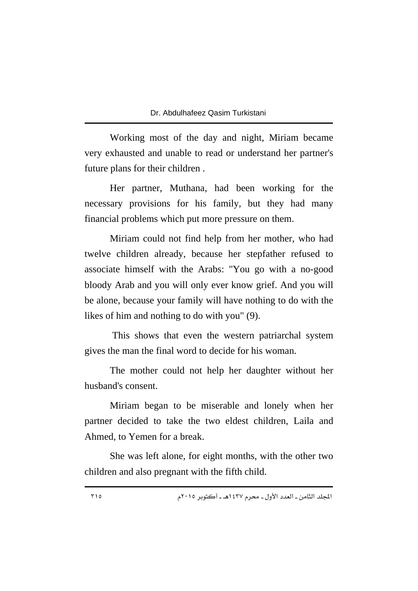Working most of the day and night, Miriam became very exhausted and unable to read or understand her partner's future plans for their children .

Her partner, Muthana, had been working for the necessary provisions for his family, but they had many financial problems which put more pressure on them.

Miriam could not find help from her mother, who had twelve children already, because her stepfather refused to associate himself with the Arabs: "You go with a no-good bloody Arab and you will only ever know grief. And you will be alone, because your family will have nothing to do with the likes of him and nothing to do with you" (9).

 This shows that even the western patriarchal system gives the man the final word to decide for his woman.

The mother could not help her daughter without her husband's consent.

Miriam began to be miserable and lonely when her partner decided to take the two eldest children, Laila and Ahmed, to Yemen for a break.

She was left alone, for eight months, with the other two children and also pregnant with the fifth child.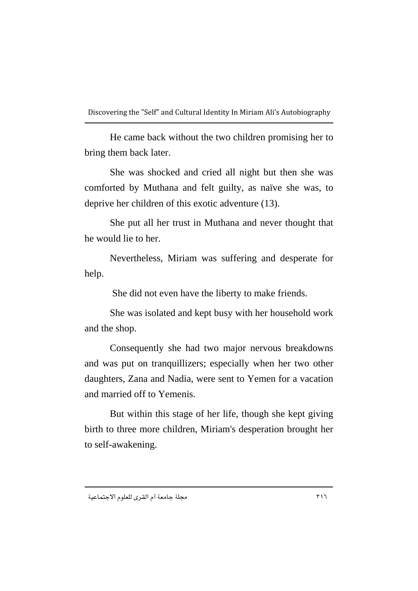He came back without the two children promising her to bring them back later.

She was shocked and cried all night but then she was comforted by Muthana and felt guilty, as naïve she was, to deprive her children of this exotic adventure (13).

She put all her trust in Muthana and never thought that he would lie to her.

Nevertheless, Miriam was suffering and desperate for help.

She did not even have the liberty to make friends.

She was isolated and kept busy with her household work and the shop.

Consequently she had two major nervous breakdowns and was put on tranquillizers; especially when her two other daughters, Zana and Nadia, were sent to Yemen for a vacation and married off to Yemenis.

But within this stage of her life, though she kept giving birth to three more children, Miriam's desperation brought her to self-awakening.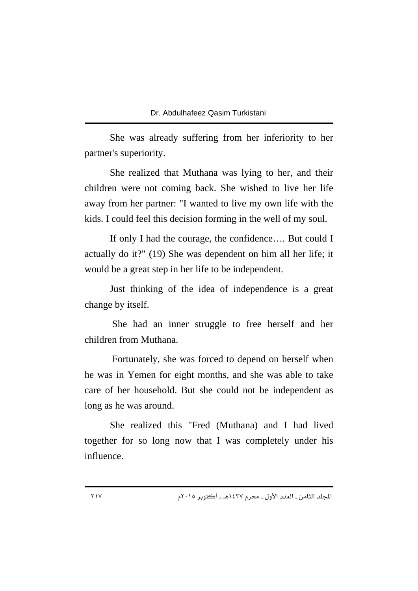She was already suffering from her inferiority to her partner's superiority.

She realized that Muthana was lying to her, and their children were not coming back. She wished to live her life away from her partner: "I wanted to live my own life with the kids. I could feel this decision forming in the well of my soul.

If only I had the courage, the confidence…. But could I actually do it?" (19) She was dependent on him all her life; it would be a great step in her life to be independent.

Just thinking of the idea of independence is a great change by itself.

 She had an inner struggle to free herself and her children from Muthana.

 Fortunately, she was forced to depend on herself when he was in Yemen for eight months, and she was able to take care of her household. But she could not be independent as long as he was around.

She realized this "Fred (Muthana) and I had lived together for so long now that I was completely under his influence.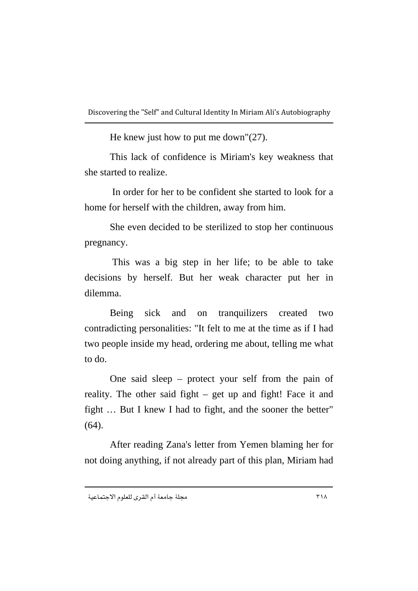He knew just how to put me down"(27).

This lack of confidence is Miriam's key weakness that she started to realize.

 In order for her to be confident she started to look for a home for herself with the children, away from him.

She even decided to be sterilized to stop her continuous pregnancy.

 This was a big step in her life; to be able to take decisions by herself. But her weak character put her in dilemma.

Being sick and on tranquilizers created two contradicting personalities: "It felt to me at the time as if I had two people inside my head, ordering me about, telling me what to do.

One said sleep – protect your self from the pain of reality. The other said fight – get up and fight! Face it and fight … But I knew I had to fight, and the sooner the better" (64).

After reading Zana's letter from Yemen blaming her for not doing anything, if not already part of this plan, Miriam had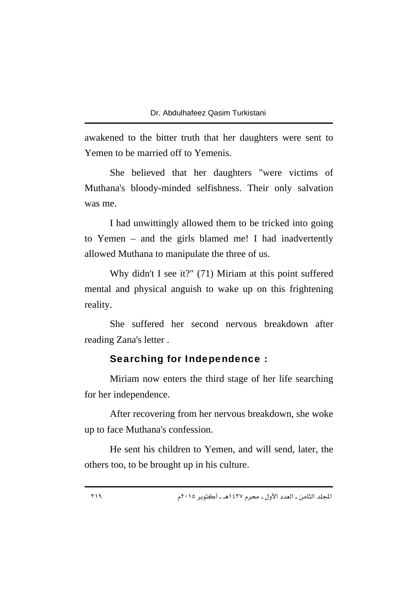awakened to the bitter truth that her daughters were sent to Yemen to be married off to Yemenis.

She believed that her daughters "were victims of Muthana's bloody-minded selfishness. Their only salvation was me.

I had unwittingly allowed them to be tricked into going to Yemen – and the girls blamed me! I had inadvertently allowed Muthana to manipulate the three of us.

Why didn't I see it?" (71) Miriam at this point suffered mental and physical anguish to wake up on this frightening reality.

She suffered her second nervous breakdown after reading Zana's letter .

### Searching for Independence :

Miriam now enters the third stage of her life searching for her independence.

After recovering from her nervous breakdown, she woke up to face Muthana's confession.

He sent his children to Yemen, and will send, later, the others too, to be brought up in his culture.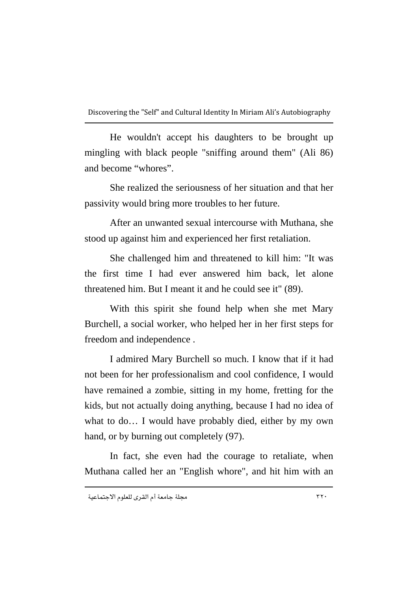He wouldn't accept his daughters to be brought up mingling with black people "sniffing around them" (Ali 86) and become "whores".

She realized the seriousness of her situation and that her passivity would bring more troubles to her future.

After an unwanted sexual intercourse with Muthana, she stood up against him and experienced her first retaliation.

She challenged him and threatened to kill him: "It was the first time I had ever answered him back, let alone threatened him. But I meant it and he could see it" (89).

With this spirit she found help when she met Mary Burchell, a social worker, who helped her in her first steps for freedom and independence .

I admired Mary Burchell so much. I know that if it had not been for her professionalism and cool confidence, I would have remained a zombie, sitting in my home, fretting for the kids, but not actually doing anything, because I had no idea of what to do… I would have probably died, either by my own hand, or by burning out completely (97).

In fact, she even had the courage to retaliate, when Muthana called her an "English whore", and hit him with an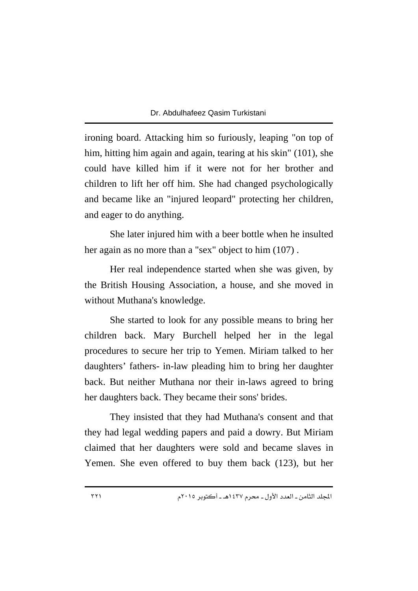ironing board. Attacking him so furiously, leaping "on top of him, hitting him again and again, tearing at his skin" (101), she could have killed him if it were not for her brother and children to lift her off him. She had changed psychologically and became like an "injured leopard" protecting her children, and eager to do anything.

She later injured him with a beer bottle when he insulted her again as no more than a "sex" object to him  $(107)$ .

Her real independence started when she was given, by the British Housing Association, a house, and she moved in without Muthana's knowledge.

She started to look for any possible means to bring her children back. Mary Burchell helped her in the legal procedures to secure her trip to Yemen. Miriam talked to her daughters' fathers- in-law pleading him to bring her daughter back. But neither Muthana nor their in-laws agreed to bring her daughters back. They became their sons' brides.

They insisted that they had Muthana's consent and that they had legal wedding papers and paid a dowry. But Miriam claimed that her daughters were sold and became slaves in Yemen. She even offered to buy them back (123), but her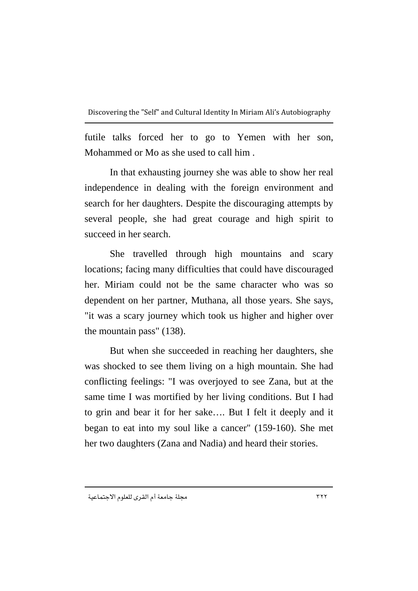futile talks forced her to go to Yemen with her son, Mohammed or Mo as she used to call him .

In that exhausting journey she was able to show her real independence in dealing with the foreign environment and search for her daughters. Despite the discouraging attempts by several people, she had great courage and high spirit to succeed in her search.

She travelled through high mountains and scary locations; facing many difficulties that could have discouraged her. Miriam could not be the same character who was so dependent on her partner, Muthana, all those years. She says, "it was a scary journey which took us higher and higher over the mountain pass" (138).

But when she succeeded in reaching her daughters, she was shocked to see them living on a high mountain. She had conflicting feelings: "I was overjoyed to see Zana, but at the same time I was mortified by her living conditions. But I had to grin and bear it for her sake…. But I felt it deeply and it began to eat into my soul like a cancer" (159-160). She met her two daughters (Zana and Nadia) and heard their stories.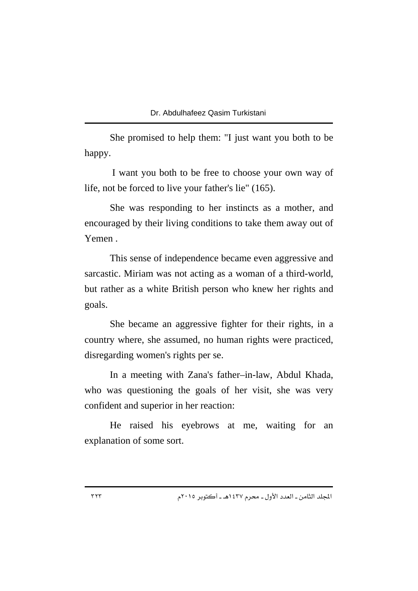She promised to help them: "I just want you both to be happy.

 I want you both to be free to choose your own way of life, not be forced to live your father's lie" (165).

She was responding to her instincts as a mother, and encouraged by their living conditions to take them away out of Yemen .

This sense of independence became even aggressive and sarcastic. Miriam was not acting as a woman of a third-world, but rather as a white British person who knew her rights and goals.

She became an aggressive fighter for their rights, in a country where, she assumed, no human rights were practiced, disregarding women's rights per se.

In a meeting with Zana's father–in-law, Abdul Khada, who was questioning the goals of her visit, she was very confident and superior in her reaction:

He raised his eyebrows at me, waiting for an explanation of some sort.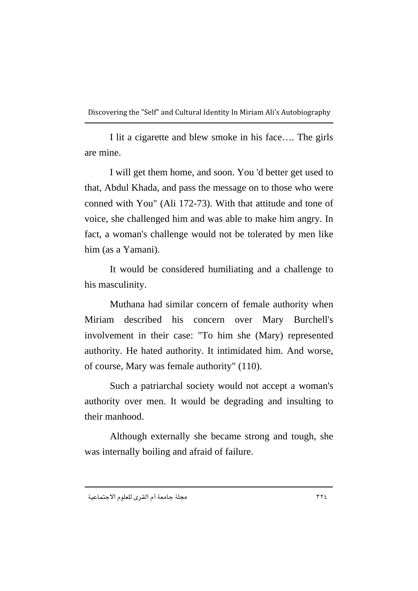I lit a cigarette and blew smoke in his face…. The girls are mine.

I will get them home, and soon. You 'd better get used to that, Abdul Khada, and pass the message on to those who were conned with You" (Ali 172-73). With that attitude and tone of voice, she challenged him and was able to make him angry. In fact, a woman's challenge would not be tolerated by men like him (as a Yamani).

It would be considered humiliating and a challenge to his masculinity.

Muthana had similar concern of female authority when Miriam described his concern over Mary Burchell's involvement in their case: "To him she (Mary) represented authority. He hated authority. It intimidated him. And worse, of course, Mary was female authority" (110).

Such a patriarchal society would not accept a woman's authority over men. It would be degrading and insulting to their manhood.

Although externally she became strong and tough, she was internally boiling and afraid of failure.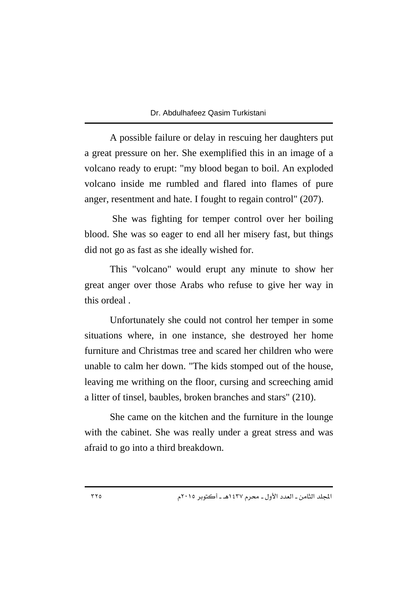A possible failure or delay in rescuing her daughters put a great pressure on her. She exemplified this in an image of a volcano ready to erupt: "my blood began to boil. An exploded volcano inside me rumbled and flared into flames of pure anger, resentment and hate. I fought to regain control" (207).

 She was fighting for temper control over her boiling blood. She was so eager to end all her misery fast, but things did not go as fast as she ideally wished for.

This "volcano" would erupt any minute to show her great anger over those Arabs who refuse to give her way in this ordeal .

Unfortunately she could not control her temper in some situations where, in one instance, she destroyed her home furniture and Christmas tree and scared her children who were unable to calm her down. "The kids stomped out of the house, leaving me writhing on the floor, cursing and screeching amid a litter of tinsel, baubles, broken branches and stars" (210).

She came on the kitchen and the furniture in the lounge with the cabinet. She was really under a great stress and was afraid to go into a third breakdown.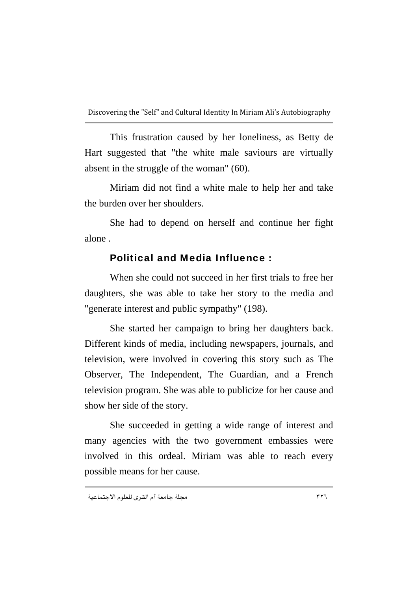This frustration caused by her loneliness, as Betty de Hart suggested that "the white male saviours are virtually absent in the struggle of the woman" (60).

Miriam did not find a white male to help her and take the burden over her shoulders.

She had to depend on herself and continue her fight alone .

# Political and Media Influence :

When she could not succeed in her first trials to free her daughters, she was able to take her story to the media and "generate interest and public sympathy" (198).

She started her campaign to bring her daughters back. Different kinds of media, including newspapers, journals, and television, were involved in covering this story such as The Observer, The Independent, The Guardian, and a French television program. She was able to publicize for her cause and show her side of the story.

She succeeded in getting a wide range of interest and many agencies with the two government embassies were involved in this ordeal. Miriam was able to reach every possible means for her cause.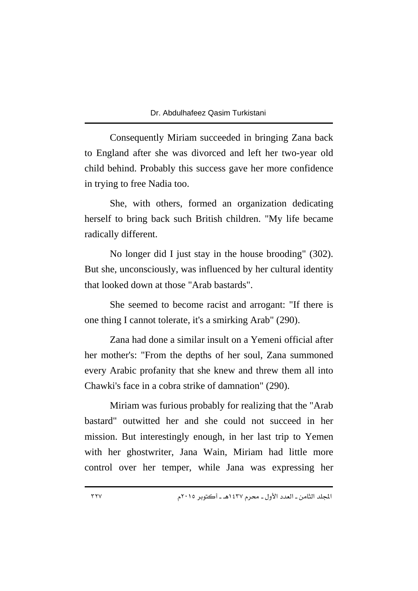Consequently Miriam succeeded in bringing Zana back to England after she was divorced and left her two-year old child behind. Probably this success gave her more confidence in trying to free Nadia too.

She, with others, formed an organization dedicating herself to bring back such British children. "My life became radically different.

No longer did I just stay in the house brooding" (302). But she, unconsciously, was influenced by her cultural identity that looked down at those "Arab bastards".

She seemed to become racist and arrogant: "If there is one thing I cannot tolerate, it's a smirking Arab" (290).

Zana had done a similar insult on a Yemeni official after her mother's: "From the depths of her soul, Zana summoned every Arabic profanity that she knew and threw them all into Chawki's face in a cobra strike of damnation" (290).

Miriam was furious probably for realizing that the "Arab bastard" outwitted her and she could not succeed in her mission. But interestingly enough, in her last trip to Yemen with her ghostwriter, Jana Wain, Miriam had little more control over her temper, while Jana was expressing her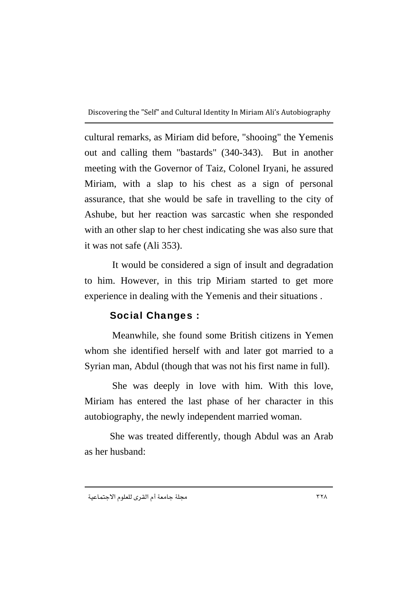cultural remarks, as Miriam did before, "shooing" the Yemenis out and calling them "bastards" (340-343). But in another meeting with the Governor of Taiz, Colonel Iryani, he assured Miriam, with a slap to his chest as a sign of personal assurance, that she would be safe in travelling to the city of Ashube, but her reaction was sarcastic when she responded with an other slap to her chest indicating she was also sure that it was not safe (Ali 353).

 It would be considered a sign of insult and degradation to him. However, in this trip Miriam started to get more experience in dealing with the Yemenis and their situations .

# Social Changes :

 Meanwhile, she found some British citizens in Yemen whom she identified herself with and later got married to a Syrian man, Abdul (though that was not his first name in full).

 She was deeply in love with him. With this love, Miriam has entered the last phase of her character in this autobiography, the newly independent married woman.

She was treated differently, though Abdul was an Arab as her husband: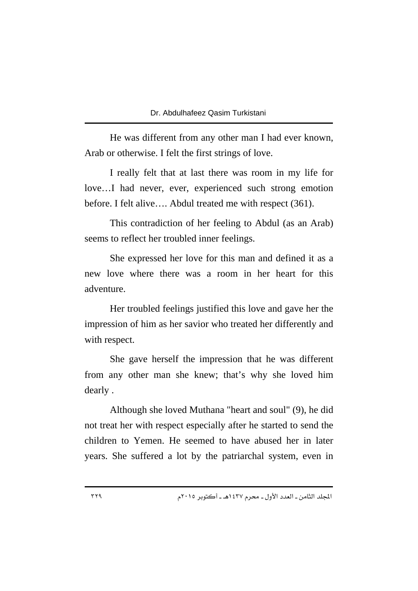He was different from any other man I had ever known, Arab or otherwise. I felt the first strings of love.

I really felt that at last there was room in my life for love…I had never, ever, experienced such strong emotion before. I felt alive…. Abdul treated me with respect (361).

This contradiction of her feeling to Abdul (as an Arab) seems to reflect her troubled inner feelings.

She expressed her love for this man and defined it as a new love where there was a room in her heart for this adventure.

Her troubled feelings justified this love and gave her the impression of him as her savior who treated her differently and with respect.

She gave herself the impression that he was different from any other man she knew; that's why she loved him dearly .

Although she loved Muthana "heart and soul" (9), he did not treat her with respect especially after he started to send the children to Yemen. He seemed to have abused her in later years. She suffered a lot by the patriarchal system, even in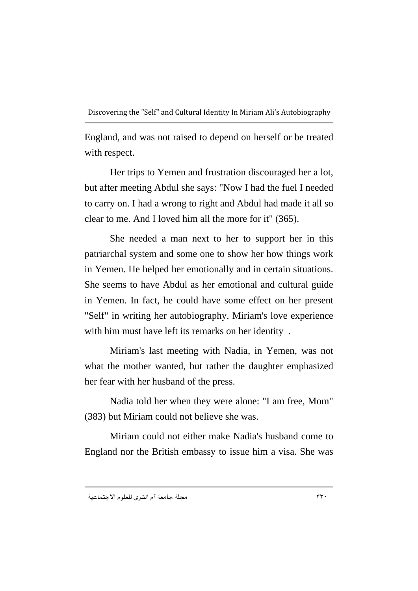England, and was not raised to depend on herself or be treated with respect.

Her trips to Yemen and frustration discouraged her a lot, but after meeting Abdul she says: "Now I had the fuel I needed to carry on. I had a wrong to right and Abdul had made it all so clear to me. And I loved him all the more for it" (365).

She needed a man next to her to support her in this patriarchal system and some one to show her how things work in Yemen. He helped her emotionally and in certain situations. She seems to have Abdul as her emotional and cultural guide in Yemen. In fact, he could have some effect on her present "Self" in writing her autobiography. Miriam's love experience with him must have left its remarks on her identity .

Miriam's last meeting with Nadia, in Yemen, was not what the mother wanted, but rather the daughter emphasized her fear with her husband of the press.

Nadia told her when they were alone: "I am free, Mom" (383) but Miriam could not believe she was.

Miriam could not either make Nadia's husband come to England nor the British embassy to issue him a visa. She was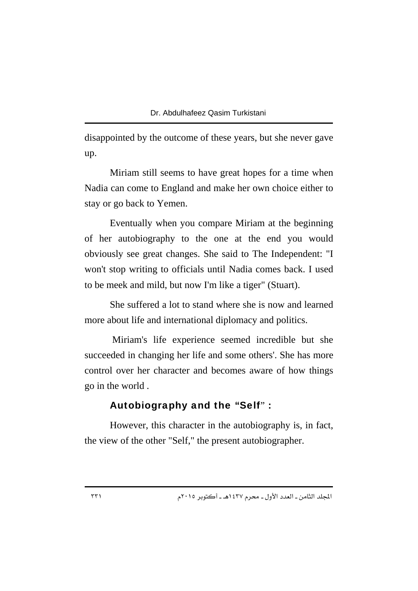disappointed by the outcome of these years, but she never gave up.

Miriam still seems to have great hopes for a time when Nadia can come to England and make her own choice either to stay or go back to Yemen.

Eventually when you compare Miriam at the beginning of her autobiography to the one at the end you would obviously see great changes. She said to The Independent: "I won't stop writing to officials until Nadia comes back. I used to be meek and mild, but now I'm like a tiger" (Stuart).

She suffered a lot to stand where she is now and learned more about life and international diplomacy and politics.

 Miriam's life experience seemed incredible but she succeeded in changing her life and some others'. She has more control over her character and becomes aware of how things go in the world .

### Autobiography and the "Self" :

However, this character in the autobiography is, in fact, the view of the other "Self," the present autobiographer.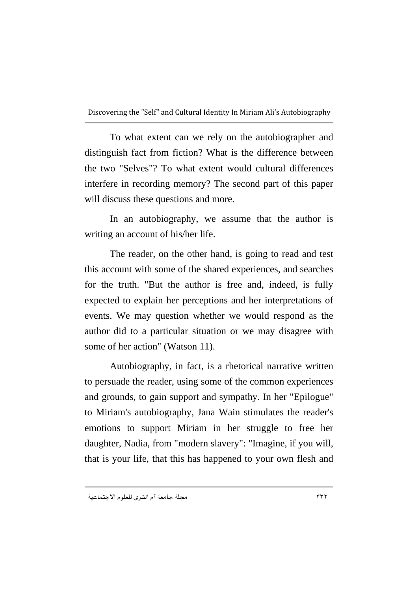To what extent can we rely on the autobiographer and distinguish fact from fiction? What is the difference between the two "Selves"? To what extent would cultural differences interfere in recording memory? The second part of this paper will discuss these questions and more.

In an autobiography, we assume that the author is writing an account of his/her life.

The reader, on the other hand, is going to read and test this account with some of the shared experiences, and searches for the truth. "But the author is free and, indeed, is fully expected to explain her perceptions and her interpretations of events. We may question whether we would respond as the author did to a particular situation or we may disagree with some of her action" (Watson 11).

Autobiography, in fact, is a rhetorical narrative written to persuade the reader, using some of the common experiences and grounds, to gain support and sympathy. In her "Epilogue" to Miriam's autobiography, Jana Wain stimulates the reader's emotions to support Miriam in her struggle to free her daughter, Nadia, from "modern slavery": "Imagine, if you will, that is your life, that this has happened to your own flesh and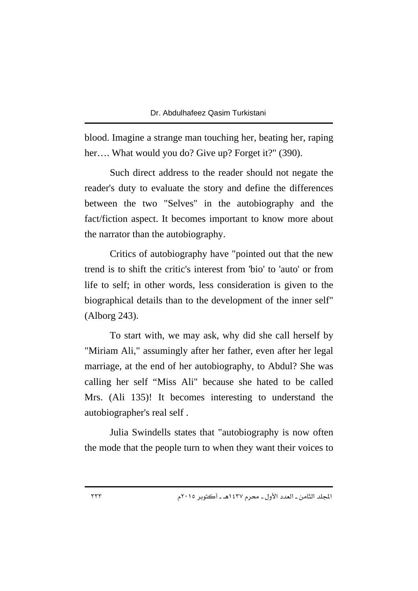blood. Imagine a strange man touching her, beating her, raping her…. What would you do? Give up? Forget it?" (390).

Such direct address to the reader should not negate the reader's duty to evaluate the story and define the differences between the two "Selves" in the autobiography and the fact/fiction aspect. It becomes important to know more about the narrator than the autobiography.

Critics of autobiography have "pointed out that the new trend is to shift the critic's interest from 'bio' to 'auto' or from life to self; in other words, less consideration is given to the biographical details than to the development of the inner self" (Alborg 243).

To start with, we may ask, why did she call herself by "Miriam Ali," assumingly after her father, even after her legal marriage, at the end of her autobiography, to Abdul? She was calling her self "Miss Ali" because she hated to be called Mrs. (Ali 135)! It becomes interesting to understand the autobiographer's real self .

Julia Swindells states that "autobiography is now often the mode that the people turn to when they want their voices to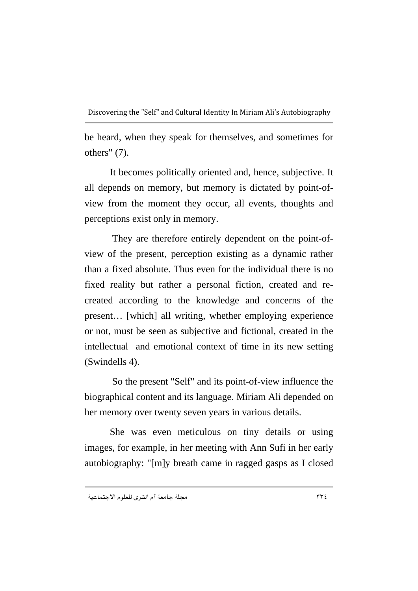be heard, when they speak for themselves, and sometimes for others" (7).

It becomes politically oriented and, hence, subjective. It all depends on memory, but memory is dictated by point-ofview from the moment they occur, all events, thoughts and perceptions exist only in memory.

 They are therefore entirely dependent on the point-ofview of the present, perception existing as a dynamic rather than a fixed absolute. Thus even for the individual there is no fixed reality but rather a personal fiction, created and recreated according to the knowledge and concerns of the present… [which] all writing, whether employing experience or not, must be seen as subjective and fictional, created in the intellectual and emotional context of time in its new setting (Swindells 4).

 So the present "Self" and its point-of-view influence the biographical content and its language. Miriam Ali depended on her memory over twenty seven years in various details.

She was even meticulous on tiny details or using images, for example, in her meeting with Ann Sufi in her early autobiography: "[m]y breath came in ragged gasps as I closed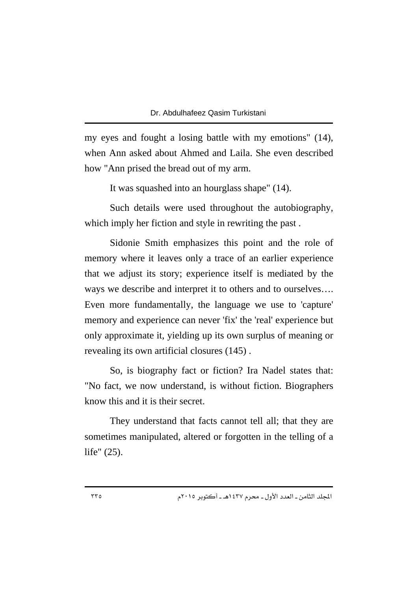my eyes and fought a losing battle with my emotions" (14), when Ann asked about Ahmed and Laila. She even described how "Ann prised the bread out of my arm.

It was squashed into an hourglass shape" (14).

Such details were used throughout the autobiography, which imply her fiction and style in rewriting the past .

Sidonie Smith emphasizes this point and the role of memory where it leaves only a trace of an earlier experience that we adjust its story; experience itself is mediated by the ways we describe and interpret it to others and to ourselves…. Even more fundamentally, the language we use to 'capture' memory and experience can never 'fix' the 'real' experience but only approximate it, yielding up its own surplus of meaning or revealing its own artificial closures (145) .

So, is biography fact or fiction? Ira Nadel states that: "No fact, we now understand, is without fiction. Biographers know this and it is their secret.

They understand that facts cannot tell all; that they are sometimes manipulated, altered or forgotten in the telling of a life" (25).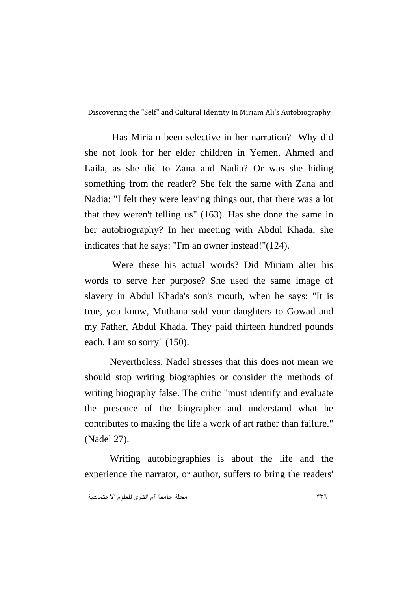Has Miriam been selective in her narration? Why did she not look for her elder children in Yemen, Ahmed and Laila, as she did to Zana and Nadia? Or was she hiding something from the reader? She felt the same with Zana and Nadia: "I felt they were leaving things out, that there was a lot that they weren't telling us" (163). Has she done the same in her autobiography? In her meeting with Abdul Khada, she indicates that he says: "I'm an owner instead!"(124).

 Were these his actual words? Did Miriam alter his words to serve her purpose? She used the same image of slavery in Abdul Khada's son's mouth, when he says: "It is true, you know, Muthana sold your daughters to Gowad and my Father, Abdul Khada. They paid thirteen hundred pounds each. I am so sorry" (150).

Nevertheless, Nadel stresses that this does not mean we should stop writing biographies or consider the methods of writing biography false. The critic "must identify and evaluate the presence of the biographer and understand what he contributes to making the life a work of art rather than failure." (Nadel 27).

Writing autobiographies is about the life and the experience the narrator, or author, suffers to bring the readers'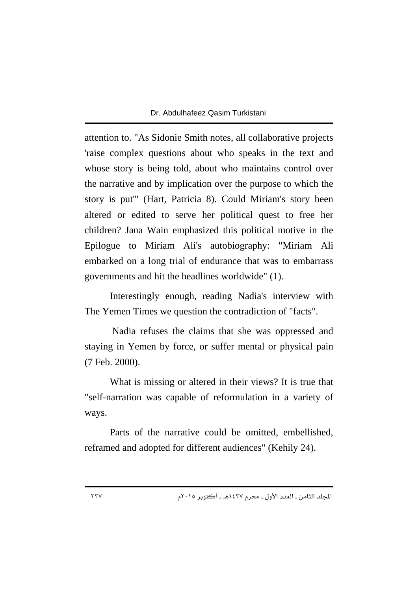attention to. "As Sidonie Smith notes, all collaborative projects 'raise complex questions about who speaks in the text and whose story is being told, about who maintains control over the narrative and by implication over the purpose to which the story is put'" (Hart, Patricia 8). Could Miriam's story been altered or edited to serve her political quest to free her children? Jana Wain emphasized this political motive in the Epilogue to Miriam Ali's autobiography: "Miriam Ali embarked on a long trial of endurance that was to embarrass governments and hit the headlines worldwide" (1).

Interestingly enough, reading Nadia's interview with The Yemen Times we question the contradiction of "facts".

 Nadia refuses the claims that she was oppressed and staying in Yemen by force, or suffer mental or physical pain (7 Feb. 2000).

What is missing or altered in their views? It is true that "self-narration was capable of reformulation in a variety of ways.

Parts of the narrative could be omitted, embellished, reframed and adopted for different audiences" (Kehily 24).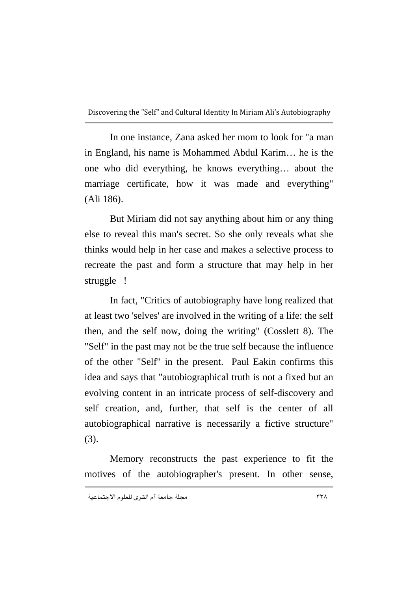In one instance, Zana asked her mom to look for "a man in England, his name is Mohammed Abdul Karim… he is the one who did everything, he knows everything… about the marriage certificate, how it was made and everything" (Ali 186).

But Miriam did not say anything about him or any thing else to reveal this man's secret. So she only reveals what she thinks would help in her case and makes a selective process to recreate the past and form a structure that may help in her struggle !

In fact, "Critics of autobiography have long realized that at least two 'selves' are involved in the writing of a life: the self then, and the self now, doing the writing" (Cosslett 8). The "Self" in the past may not be the true self because the influence of the other "Self" in the present. Paul Eakin confirms this idea and says that "autobiographical truth is not a fixed but an evolving content in an intricate process of self-discovery and self creation, and, further, that self is the center of all autobiographical narrative is necessarily a fictive structure" (3).

Memory reconstructs the past experience to fit the motives of the autobiographer's present. In other sense,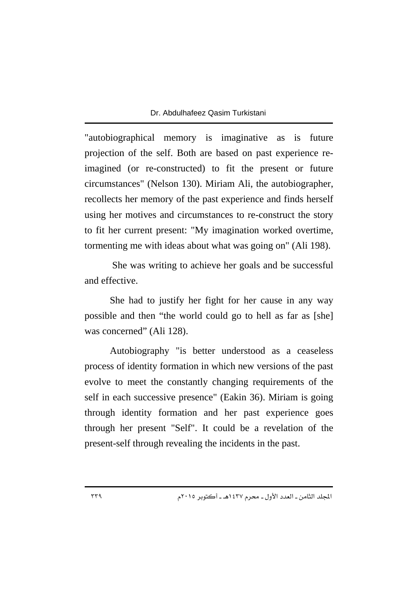"autobiographical memory is imaginative as is future projection of the self. Both are based on past experience reimagined (or re-constructed) to fit the present or future circumstances" (Nelson 130). Miriam Ali, the autobiographer, recollects her memory of the past experience and finds herself using her motives and circumstances to re-construct the story to fit her current present: "My imagination worked overtime, tormenting me with ideas about what was going on" (Ali 198).

 She was writing to achieve her goals and be successful and effective.

She had to justify her fight for her cause in any way possible and then "the world could go to hell as far as [she] was concerned" (Ali 128).

Autobiography "is better understood as a ceaseless process of identity formation in which new versions of the past evolve to meet the constantly changing requirements of the self in each successive presence" (Eakin 36). Miriam is going through identity formation and her past experience goes through her present "Self". It could be a revelation of the present-self through revealing the incidents in the past.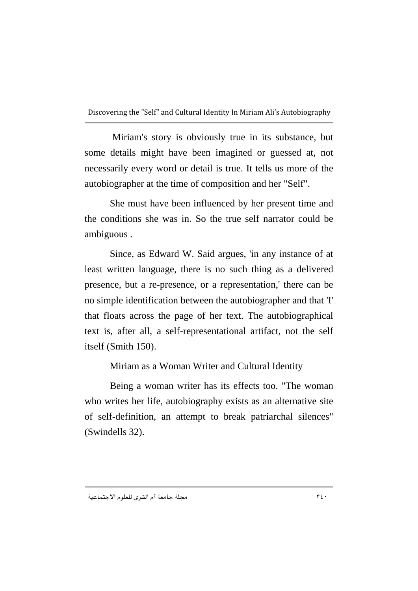Miriam's story is obviously true in its substance, but some details might have been imagined or guessed at, not necessarily every word or detail is true. It tells us more of the autobiographer at the time of composition and her "Self".

She must have been influenced by her present time and the conditions she was in. So the true self narrator could be ambiguous .

Since, as Edward W. Said argues, 'in any instance of at least written language, there is no such thing as a delivered presence, but a re-presence, or a representation,' there can be no simple identification between the autobiographer and that 'I' that floats across the page of her text. The autobiographical text is, after all, a self-representational artifact, not the self itself (Smith 150).

Miriam as a Woman Writer and Cultural Identity

Being a woman writer has its effects too. "The woman who writes her life, autobiography exists as an alternative site of self-definition, an attempt to break patriarchal silences" (Swindells 32).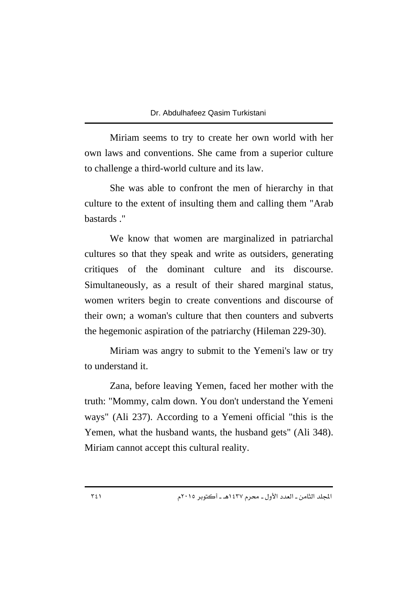Miriam seems to try to create her own world with her own laws and conventions. She came from a superior culture to challenge a third-world culture and its law.

She was able to confront the men of hierarchy in that culture to the extent of insulting them and calling them "Arab bastards ."

We know that women are marginalized in patriarchal cultures so that they speak and write as outsiders, generating critiques of the dominant culture and its discourse. Simultaneously, as a result of their shared marginal status, women writers begin to create conventions and discourse of their own; a woman's culture that then counters and subverts the hegemonic aspiration of the patriarchy (Hileman 229-30).

Miriam was angry to submit to the Yemeni's law or try to understand it.

Zana, before leaving Yemen, faced her mother with the truth: "Mommy, calm down. You don't understand the Yemeni ways" (Ali 237). According to a Yemeni official "this is the Yemen, what the husband wants, the husband gets" (Ali 348). Miriam cannot accept this cultural reality.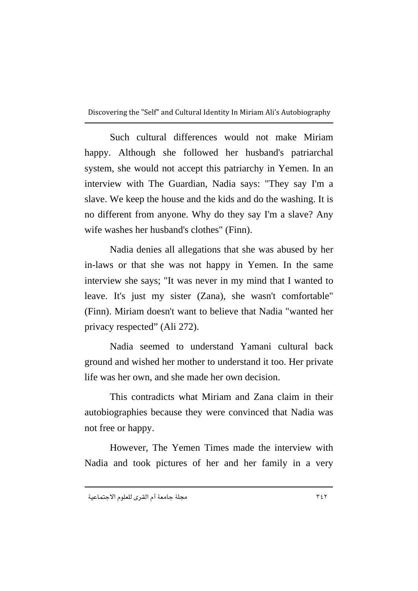Such cultural differences would not make Miriam happy. Although she followed her husband's patriarchal system, she would not accept this patriarchy in Yemen. In an interview with The Guardian, Nadia says: "They say I'm a slave. We keep the house and the kids and do the washing. It is no different from anyone. Why do they say I'm a slave? Any wife washes her husband's clothes" (Finn).

Nadia denies all allegations that she was abused by her in-laws or that she was not happy in Yemen. In the same interview she says; "It was never in my mind that I wanted to leave. It's just my sister (Zana), she wasn't comfortable" (Finn). Miriam doesn't want to believe that Nadia "wanted her privacy respected" (Ali 272).

Nadia seemed to understand Yamani cultural back ground and wished her mother to understand it too. Her private life was her own, and she made her own decision.

This contradicts what Miriam and Zana claim in their autobiographies because they were convinced that Nadia was not free or happy.

However, The Yemen Times made the interview with Nadia and took pictures of her and her family in a very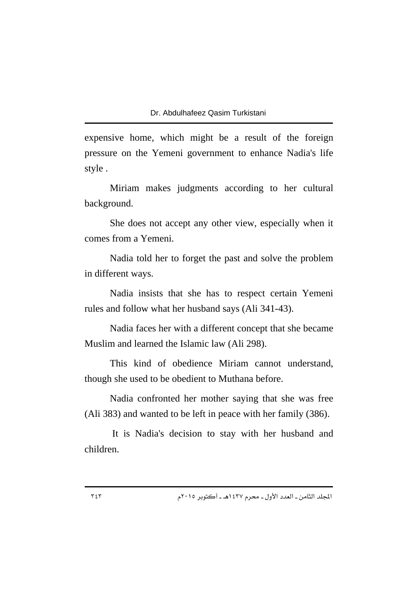expensive home, which might be a result of the foreign pressure on the Yemeni government to enhance Nadia's life style .

Miriam makes judgments according to her cultural background.

She does not accept any other view, especially when it comes from a Yemeni.

Nadia told her to forget the past and solve the problem in different ways.

Nadia insists that she has to respect certain Yemeni rules and follow what her husband says (Ali 341-43).

Nadia faces her with a different concept that she became Muslim and learned the Islamic law (Ali 298).

This kind of obedience Miriam cannot understand, though she used to be obedient to Muthana before.

Nadia confronted her mother saying that she was free (Ali 383) and wanted to be left in peace with her family (386).

 It is Nadia's decision to stay with her husband and children.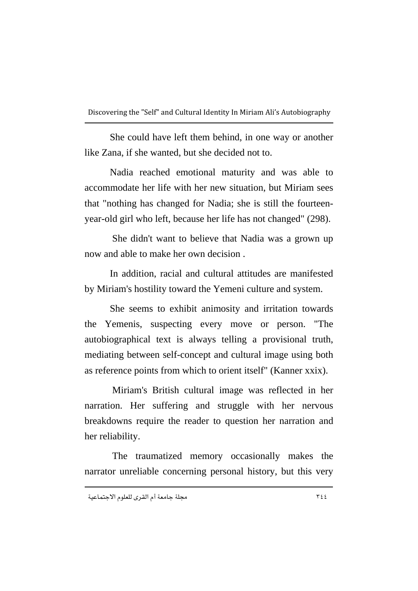She could have left them behind, in one way or another like Zana, if she wanted, but she decided not to.

Nadia reached emotional maturity and was able to accommodate her life with her new situation, but Miriam sees that "nothing has changed for Nadia; she is still the fourteenyear-old girl who left, because her life has not changed" (298).

 She didn't want to believe that Nadia was a grown up now and able to make her own decision

In addition, racial and cultural attitudes are manifested by Miriam's hostility toward the Yemeni culture and system.

She seems to exhibit animosity and irritation towards the Yemenis, suspecting every move or person. "The autobiographical text is always telling a provisional truth, mediating between self-concept and cultural image using both as reference points from which to orient itself" (Kanner xxix).

 Miriam's British cultural image was reflected in her narration. Her suffering and struggle with her nervous breakdowns require the reader to question her narration and her reliability.

 The traumatized memory occasionally makes the narrator unreliable concerning personal history, but this very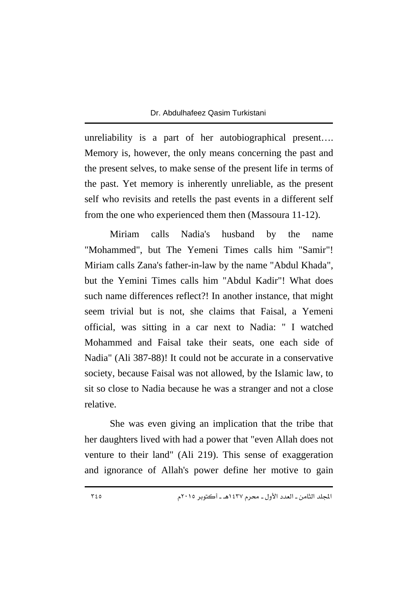unreliability is a part of her autobiographical present…. Memory is, however, the only means concerning the past and the present selves, to make sense of the present life in terms of the past. Yet memory is inherently unreliable, as the present self who revisits and retells the past events in a different self from the one who experienced them then (Massoura 11-12).

Miriam calls Nadia's husband by the name "Mohammed", but The Yemeni Times calls him "Samir"! Miriam calls Zana's father-in-law by the name "Abdul Khada", but the Yemini Times calls him "Abdul Kadir"! What does such name differences reflect?! In another instance, that might seem trivial but is not, she claims that Faisal, a Yemeni official, was sitting in a car next to Nadia: " I watched Mohammed and Faisal take their seats, one each side of Nadia" (Ali 387-88)! It could not be accurate in a conservative society, because Faisal was not allowed, by the Islamic law, to sit so close to Nadia because he was a stranger and not a close relative.

She was even giving an implication that the tribe that her daughters lived with had a power that "even Allah does not venture to their land" (Ali 219). This sense of exaggeration and ignorance of Allah's power define her motive to gain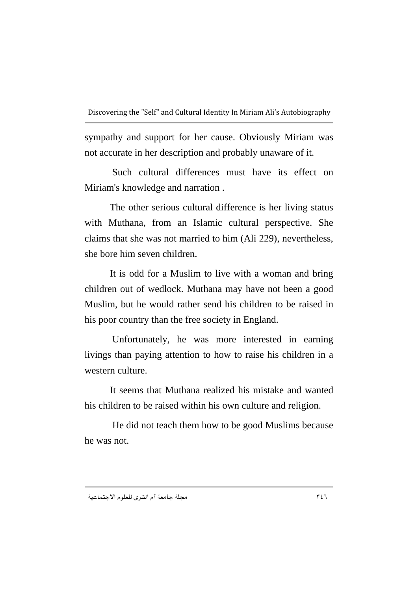sympathy and support for her cause. Obviously Miriam was not accurate in her description and probably unaware of it.

 Such cultural differences must have its effect on Miriam's knowledge and narration .

The other serious cultural difference is her living status with Muthana, from an Islamic cultural perspective. She claims that she was not married to him (Ali 229), nevertheless, she bore him seven children.

It is odd for a Muslim to live with a woman and bring children out of wedlock. Muthana may have not been a good Muslim, but he would rather send his children to be raised in his poor country than the free society in England.

 Unfortunately, he was more interested in earning livings than paying attention to how to raise his children in a western culture.

It seems that Muthana realized his mistake and wanted his children to be raised within his own culture and religion.

 He did not teach them how to be good Muslims because he was not.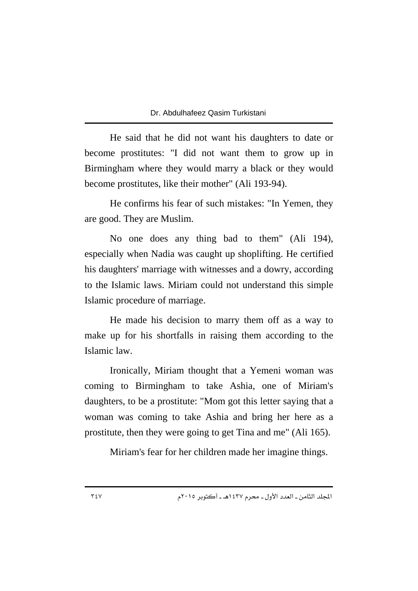He said that he did not want his daughters to date or become prostitutes: "I did not want them to grow up in Birmingham where they would marry a black or they would become prostitutes, like their mother" (Ali 193-94).

He confirms his fear of such mistakes: "In Yemen, they are good. They are Muslim.

No one does any thing bad to them" (Ali 194), especially when Nadia was caught up shoplifting. He certified his daughters' marriage with witnesses and a dowry, according to the Islamic laws. Miriam could not understand this simple Islamic procedure of marriage.

He made his decision to marry them off as a way to make up for his shortfalls in raising them according to the Islamic law.

Ironically, Miriam thought that a Yemeni woman was coming to Birmingham to take Ashia, one of Miriam's daughters, to be a prostitute: "Mom got this letter saying that a woman was coming to take Ashia and bring her here as a prostitute, then they were going to get Tina and me" (Ali 165).

Miriam's fear for her children made her imagine things.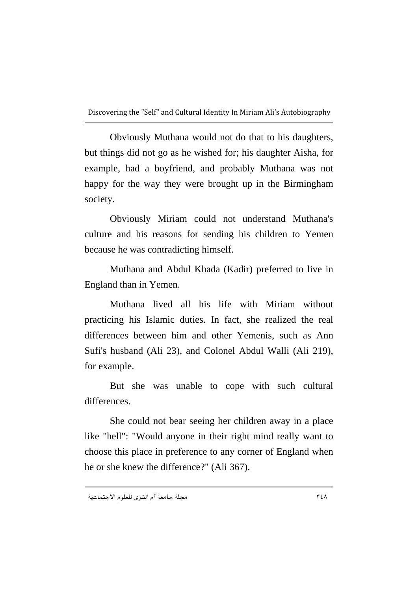Obviously Muthana would not do that to his daughters, but things did not go as he wished for; his daughter Aisha, for example, had a boyfriend, and probably Muthana was not happy for the way they were brought up in the Birmingham society.

Obviously Miriam could not understand Muthana's culture and his reasons for sending his children to Yemen because he was contradicting himself.

Muthana and Abdul Khada (Kadir) preferred to live in England than in Yemen.

Muthana lived all his life with Miriam without practicing his Islamic duties. In fact, she realized the real differences between him and other Yemenis, such as Ann Sufi's husband (Ali 23), and Colonel Abdul Walli (Ali 219), for example.

But she was unable to cope with such cultural differences.

She could not bear seeing her children away in a place like "hell": "Would anyone in their right mind really want to choose this place in preference to any corner of England when he or she knew the difference?" (Ali 367).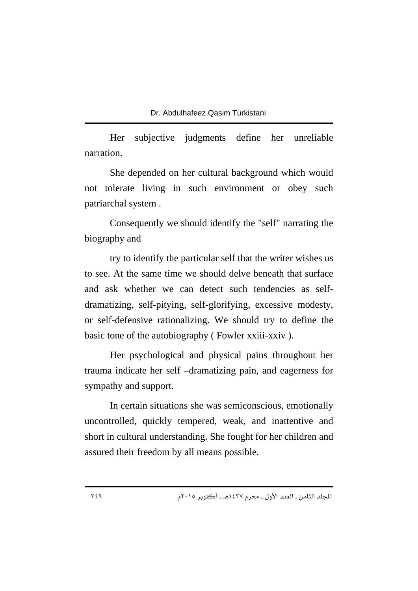Her subjective judgments define her unreliable narration.

She depended on her cultural background which would not tolerate living in such environment or obey such patriarchal system .

Consequently we should identify the "self" narrating the biography and

try to identify the particular self that the writer wishes us to see. At the same time we should delve beneath that surface and ask whether we can detect such tendencies as selfdramatizing, self-pitying, self-glorifying, excessive modesty, or self-defensive rationalizing. We should try to define the basic tone of the autobiography (Fowler xxiii-xxiv).

Her psychological and physical pains throughout her trauma indicate her self –dramatizing pain, and eagerness for sympathy and support.

In certain situations she was semiconscious, emotionally uncontrolled, quickly tempered, weak, and inattentive and short in cultural understanding. She fought for her children and assured their freedom by all means possible.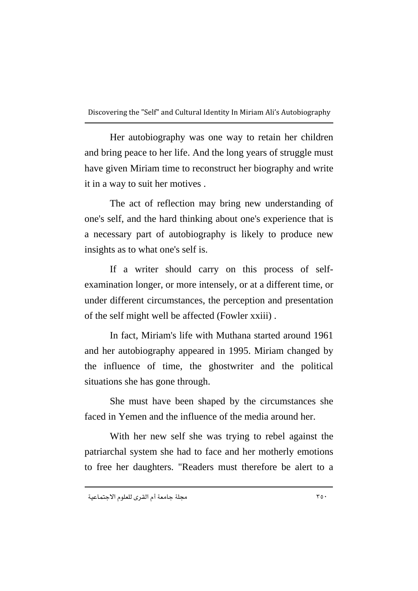Her autobiography was one way to retain her children and bring peace to her life. And the long years of struggle must have given Miriam time to reconstruct her biography and write it in a way to suit her motives .

The act of reflection may bring new understanding of one's self, and the hard thinking about one's experience that is a necessary part of autobiography is likely to produce new insights as to what one's self is.

If a writer should carry on this process of selfexamination longer, or more intensely, or at a different time, or under different circumstances, the perception and presentation of the self might well be affected (Fowler xxiii) .

In fact, Miriam's life with Muthana started around 1961 and her autobiography appeared in 1995. Miriam changed by the influence of time, the ghostwriter and the political situations she has gone through.

She must have been shaped by the circumstances she faced in Yemen and the influence of the media around her.

With her new self she was trying to rebel against the patriarchal system she had to face and her motherly emotions to free her daughters. "Readers must therefore be alert to a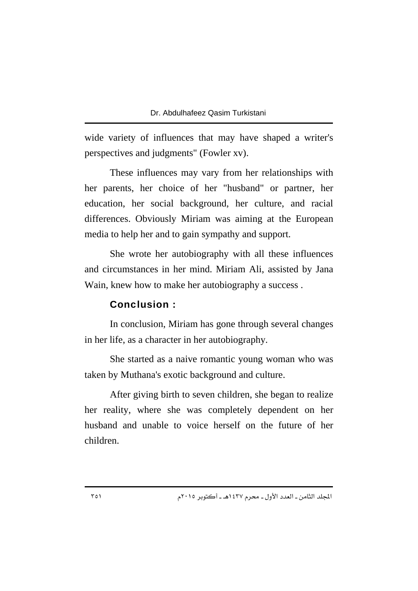wide variety of influences that may have shaped a writer's perspectives and judgments" (Fowler xv).

These influences may vary from her relationships with her parents, her choice of her "husband" or partner, her education, her social background, her culture, and racial differences. Obviously Miriam was aiming at the European media to help her and to gain sympathy and support.

She wrote her autobiography with all these influences and circumstances in her mind. Miriam Ali, assisted by Jana Wain, knew how to make her autobiography a success .

### Conclusion :

In conclusion, Miriam has gone through several changes in her life, as a character in her autobiography.

She started as a naive romantic young woman who was taken by Muthana's exotic background and culture.

After giving birth to seven children, she began to realize her reality, where she was completely dependent on her husband and unable to voice herself on the future of her children.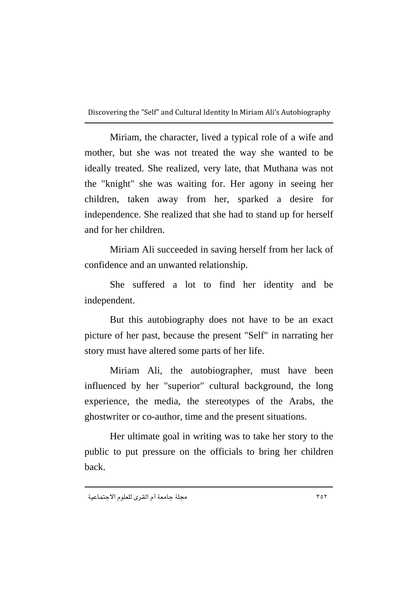Miriam, the character, lived a typical role of a wife and mother, but she was not treated the way she wanted to be ideally treated. She realized, very late, that Muthana was not the "knight" she was waiting for. Her agony in seeing her children, taken away from her, sparked a desire for independence. She realized that she had to stand up for herself and for her children.

Miriam Ali succeeded in saving herself from her lack of confidence and an unwanted relationship.

She suffered a lot to find her identity and be independent.

But this autobiography does not have to be an exact picture of her past, because the present "Self" in narrating her story must have altered some parts of her life.

Miriam Ali, the autobiographer, must have been influenced by her "superior" cultural background, the long experience, the media, the stereotypes of the Arabs, the ghostwriter or co-author, time and the present situations.

Her ultimate goal in writing was to take her story to the public to put pressure on the officials to bring her children back.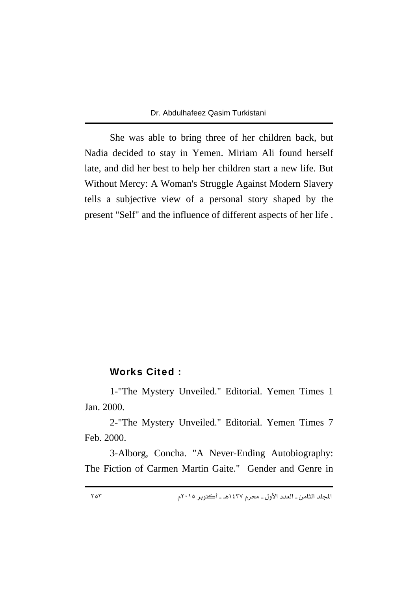She was able to bring three of her children back, but Nadia decided to stay in Yemen. Miriam Ali found herself late, and did her best to help her children start a new life. But Without Mercy: A Woman's Struggle Against Modern Slavery tells a subjective view of a personal story shaped by the present "Self" and the influence of different aspects of her life .

### Works Cited :

1-"The Mystery Unveiled." Editorial. Yemen Times 1 Jan. 2000.

2-"The Mystery Unveiled." Editorial. Yemen Times 7 Feb. 2000.

3-Alborg, Concha. "A Never-Ending Autobiography: The Fiction of Carmen Martin Gaite." Gender and Genre in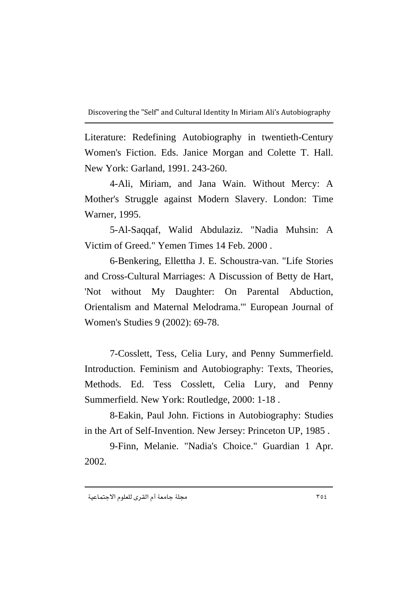Literature: Redefining Autobiography in twentieth-Century Women's Fiction. Eds. Janice Morgan and Colette T. Hall. New York: Garland, 1991. 243-260.

4-Ali, Miriam, and Jana Wain. Without Mercy: A Mother's Struggle against Modern Slavery. London: Time Warner, 1995.

5-Al-Saqqaf, Walid Abdulaziz. "Nadia Muhsin: A Victim of Greed." Yemen Times 14 Feb. 2000 .

6-Benkering, Ellettha J. E. Schoustra-van. "Life Stories and Cross-Cultural Marriages: A Discussion of Betty de Hart, 'Not without My Daughter: On Parental Abduction, Orientalism and Maternal Melodrama.'" European Journal of Women's Studies 9 (2002): 69-78.

7-Cosslett, Tess, Celia Lury, and Penny Summerfield. Introduction. Feminism and Autobiography: Texts, Theories, Methods. Ed. Tess Cosslett, Celia Lury, and Penny Summerfield. New York: Routledge, 2000: 1-18 .

8-Eakin, Paul John. Fictions in Autobiography: Studies in the Art of Self-Invention. New Jersey: Princeton UP, 1985 .

9-Finn, Melanie. "Nadia's Choice." Guardian 1 Apr. 2002.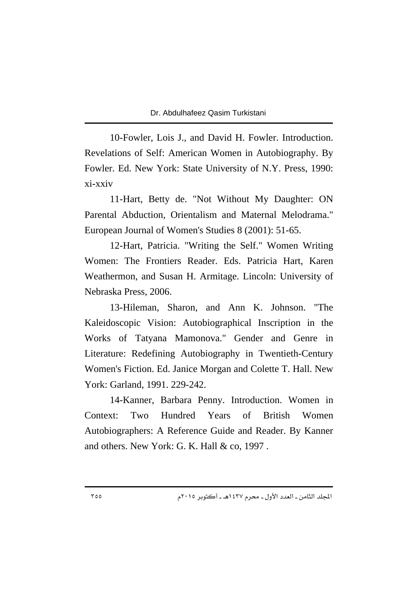10-Fowler, Lois J., and David H. Fowler. Introduction. Revelations of Self: American Women in Autobiography. By Fowler. Ed. New York: State University of N.Y. Press, 1990: xi-xxiv

11-Hart, Betty de. "Not Without My Daughter: ON Parental Abduction, Orientalism and Maternal Melodrama." European Journal of Women's Studies 8 (2001): 51-65.

12-Hart, Patricia. "Writing the Self." Women Writing Women: The Frontiers Reader. Eds. Patricia Hart, Karen Weathermon, and Susan H. Armitage. Lincoln: University of Nebraska Press, 2006.

13-Hileman, Sharon, and Ann K. Johnson. "The Kaleidoscopic Vision: Autobiographical Inscription in the Works of Tatyana Mamonova." Gender and Genre in Literature: Redefining Autobiography in Twentieth-Century Women's Fiction. Ed. Janice Morgan and Colette T. Hall. New York: Garland, 1991. 229-242.

14-Kanner, Barbara Penny. Introduction. Women in Context: Two Hundred Years of British Women Autobiographers: A Reference Guide and Reader. By Kanner and others. New York: G. K. Hall & co, 1997 .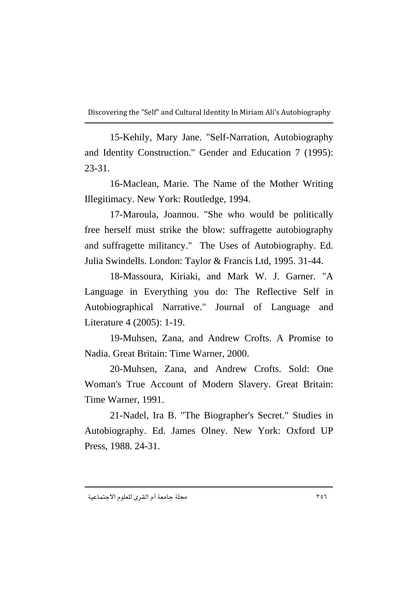15-Kehily, Mary Jane. "Self-Narration, Autobiography and Identity Construction." Gender and Education 7 (1995): 23-31.

16-Maclean, Marie. The Name of the Mother Writing Illegitimacy. New York: Routledge, 1994.

17-Maroula, Joannou. "She who would be politically free herself must strike the blow: suffragette autobiography and suffragette militancy." The Uses of Autobiography. Ed. Julia Swindells. London: Taylor & Francis Ltd, 1995. 31-44.

18-Massoura, Kiriaki, and Mark W. J. Garner. "A Language in Everything you do: The Reflective Self in Autobiographical Narrative." Journal of Language and Literature 4 (2005): 1-19.

19-Muhsen, Zana, and Andrew Crofts. A Promise to Nadia. Great Britain: Time Warner, 2000.

20-Muhsen, Zana, and Andrew Crofts. Sold: One Woman's True Account of Modern Slavery. Great Britain: Time Warner, 1991.

21-Nadel, Ira B. "The Biographer's Secret." Studies in Autobiography. Ed. James Olney. New York: Oxford UP Press, 1988. 24-31.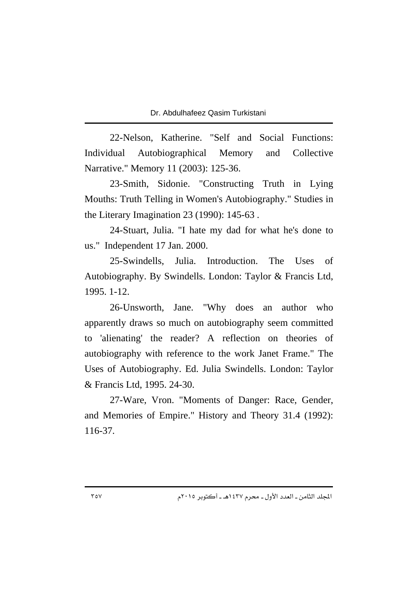22-Nelson, Katherine. "Self and Social Functions: Individual Autobiographical Memory and Collective Narrative." Memory 11 (2003): 125-36.

23-Smith, Sidonie. "Constructing Truth in Lying Mouths: Truth Telling in Women's Autobiography." Studies in the Literary Imagination 23 (1990): 145-63 .

24-Stuart, Julia. "I hate my dad for what he's done to us." Independent 17 Jan. 2000.

25-Swindells, Julia. Introduction. The Uses of Autobiography. By Swindells. London: Taylor & Francis Ltd, 1995. 1-12.

26-Unsworth, Jane. "Why does an author who apparently draws so much on autobiography seem committed to 'alienating' the reader? A reflection on theories of autobiography with reference to the work Janet Frame." The Uses of Autobiography. Ed. Julia Swindells. London: Taylor & Francis Ltd, 1995. 24-30.

27-Ware, Vron. "Moments of Danger: Race, Gender, and Memories of Empire." History and Theory 31.4 (1992): 116-37.